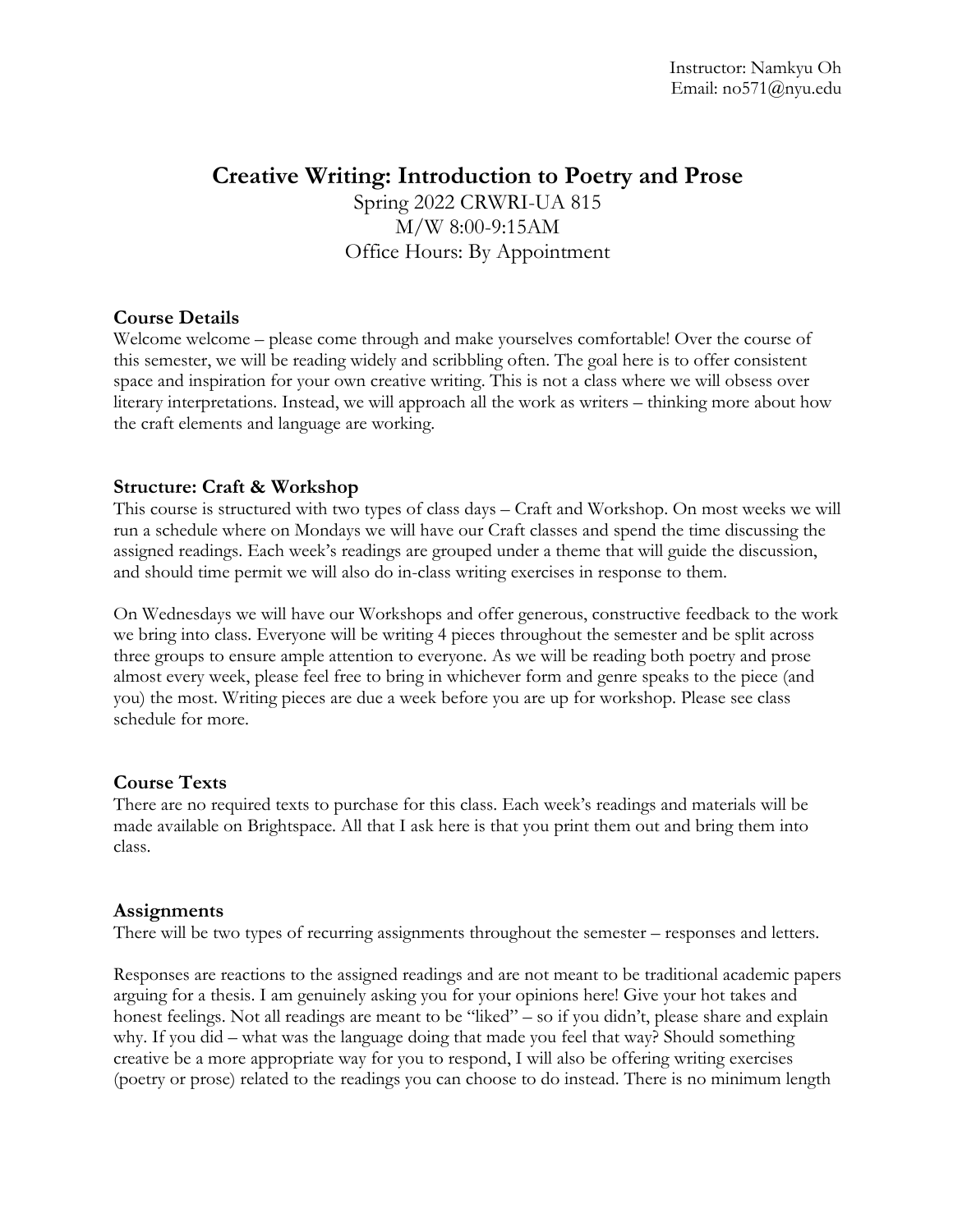# **Creative Writing: Introduction to Poetry and Prose**

Spring 2022 CRWRI-UA 815 M/W 8:00-9:15AM Office Hours: By Appointment

# **Course Details**

Welcome welcome – please come through and make yourselves comfortable! Over the course of this semester, we will be reading widely and scribbling often. The goal here is to offer consistent space and inspiration for your own creative writing. This is not a class where we will obsess over literary interpretations. Instead, we will approach all the work as writers – thinking more about how the craft elements and language are working.

# **Structure: Craft & Workshop**

This course is structured with two types of class days – Craft and Workshop. On most weeks we will run a schedule where on Mondays we will have our Craft classes and spend the time discussing the assigned readings. Each week's readings are grouped under a theme that will guide the discussion, and should time permit we will also do in-class writing exercises in response to them.

On Wednesdays we will have our Workshops and offer generous, constructive feedback to the work we bring into class. Everyone will be writing 4 pieces throughout the semester and be split across three groups to ensure ample attention to everyone. As we will be reading both poetry and prose almost every week, please feel free to bring in whichever form and genre speaks to the piece (and you) the most. Writing pieces are due a week before you are up for workshop. Please see class schedule for more.

### **Course Texts**

There are no required texts to purchase for this class. Each week's readings and materials will be made available on Brightspace. All that I ask here is that you print them out and bring them into class.

### **Assignments**

There will be two types of recurring assignments throughout the semester – responses and letters.

Responses are reactions to the assigned readings and are not meant to be traditional academic papers arguing for a thesis. I am genuinely asking you for your opinions here! Give your hot takes and honest feelings. Not all readings are meant to be "liked" – so if you didn't, please share and explain why. If you did – what was the language doing that made you feel that way? Should something creative be a more appropriate way for you to respond, I will also be offering writing exercises (poetry or prose) related to the readings you can choose to do instead. There is no minimum length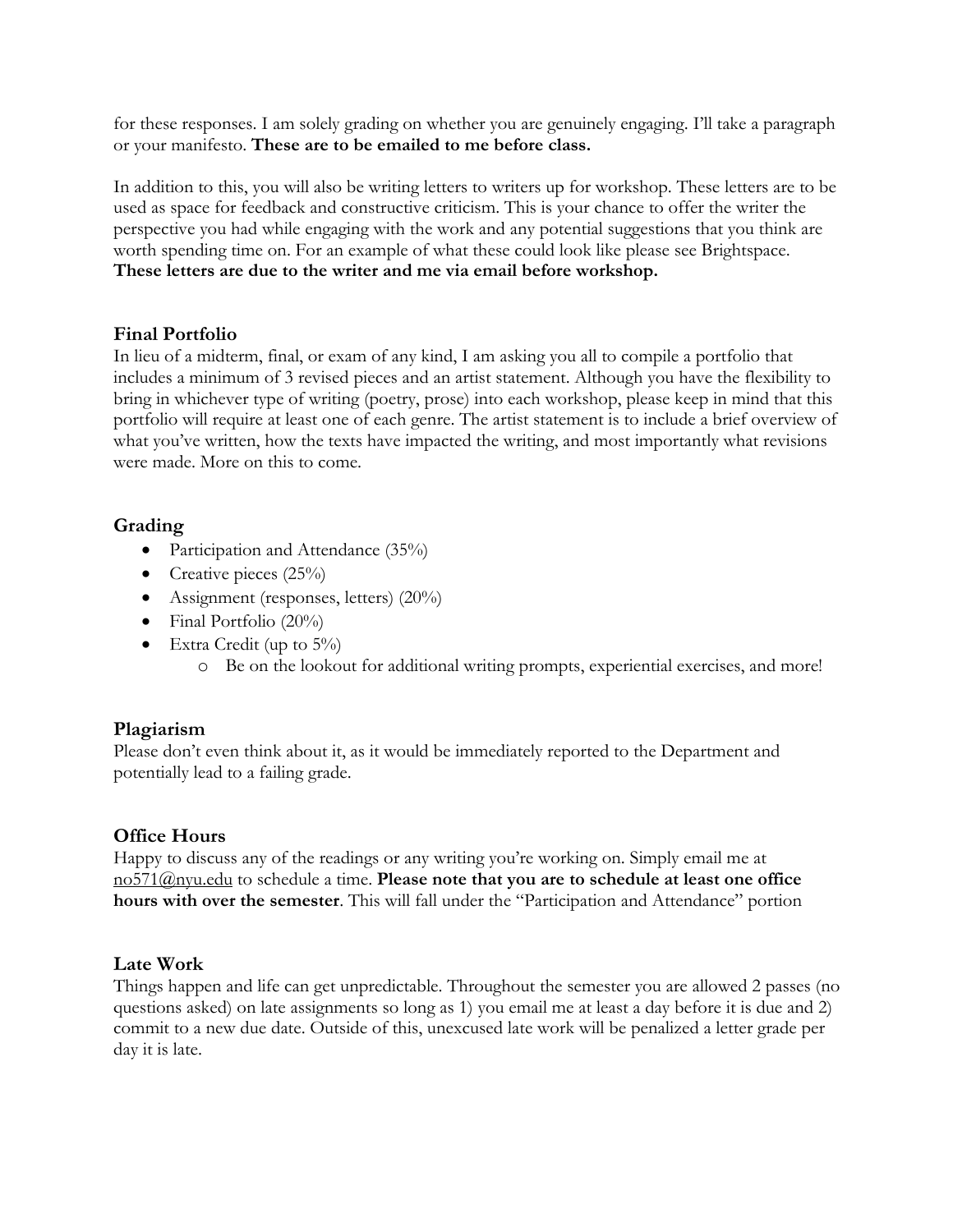for these responses. I am solely grading on whether you are genuinely engaging. I'll take a paragraph or your manifesto. **These are to be emailed to me before class.**

In addition to this, you will also be writing letters to writers up for workshop. These letters are to be used as space for feedback and constructive criticism. This is your chance to offer the writer the perspective you had while engaging with the work and any potential suggestions that you think are worth spending time on. For an example of what these could look like please see Brightspace. **These letters are due to the writer and me via email before workshop.**

# **Final Portfolio**

In lieu of a midterm, final, or exam of any kind, I am asking you all to compile a portfolio that includes a minimum of 3 revised pieces and an artist statement. Although you have the flexibility to bring in whichever type of writing (poetry, prose) into each workshop, please keep in mind that this portfolio will require at least one of each genre. The artist statement is to include a brief overview of what you've written, how the texts have impacted the writing, and most importantly what revisions were made. More on this to come.

# **Grading**

- Participation and Attendance (35%)
- Creative pieces  $(25\%)$
- Assignment (responses, letters) (20%)
- Final Portfolio  $(20\%)$
- Extra Credit (up to  $5\%$ )
	- o Be on the lookout for additional writing prompts, experiential exercises, and more!

# **Plagiarism**

Please don't even think about it, as it would be immediately reported to the Department and potentially lead to a failing grade.

### **Office Hours**

Happy to discuss any of the readings or any writing you're working on. Simply email me at no571@nyu.edu to schedule a time. **Please note that you are to schedule at least one office hours with over the semester**. This will fall under the "Participation and Attendance" portion

# **Late Work**

Things happen and life can get unpredictable. Throughout the semester you are allowed 2 passes (no questions asked) on late assignments so long as 1) you email me at least a day before it is due and 2) commit to a new due date. Outside of this, unexcused late work will be penalized a letter grade per day it is late.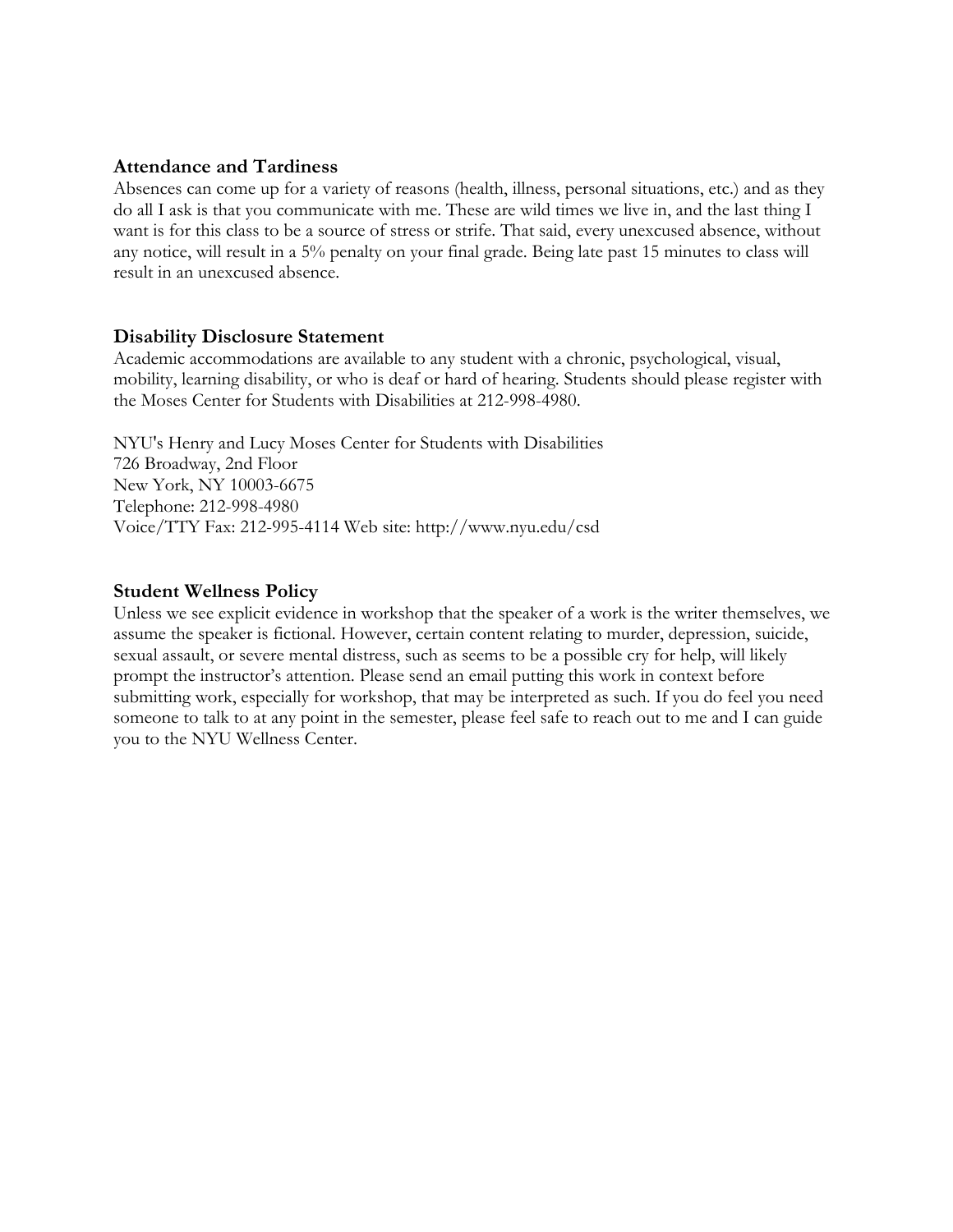### **Attendance and Tardiness**

Absences can come up for a variety of reasons (health, illness, personal situations, etc.) and as they do all I ask is that you communicate with me. These are wild times we live in, and the last thing I want is for this class to be a source of stress or strife. That said, every unexcused absence, without any notice, will result in a 5% penalty on your final grade. Being late past 15 minutes to class will result in an unexcused absence.

#### **Disability Disclosure Statement**

Academic accommodations are available to any student with a chronic, psychological, visual, mobility, learning disability, or who is deaf or hard of hearing. Students should please register with the Moses Center for Students with Disabilities at 212-998-4980.

NYU's Henry and Lucy Moses Center for Students with Disabilities 726 Broadway, 2nd Floor New York, NY 10003-6675 Telephone: 212-998-4980 Voice/TTY Fax: 212-995-4114 Web site: http://www.nyu.edu/csd

#### **Student Wellness Policy**

Unless we see explicit evidence in workshop that the speaker of a work is the writer themselves, we assume the speaker is fictional. However, certain content relating to murder, depression, suicide, sexual assault, or severe mental distress, such as seems to be a possible cry for help, will likely prompt the instructor's attention. Please send an email putting this work in context before submitting work, especially for workshop, that may be interpreted as such. If you do feel you need someone to talk to at any point in the semester, please feel safe to reach out to me and I can guide you to the NYU Wellness Center.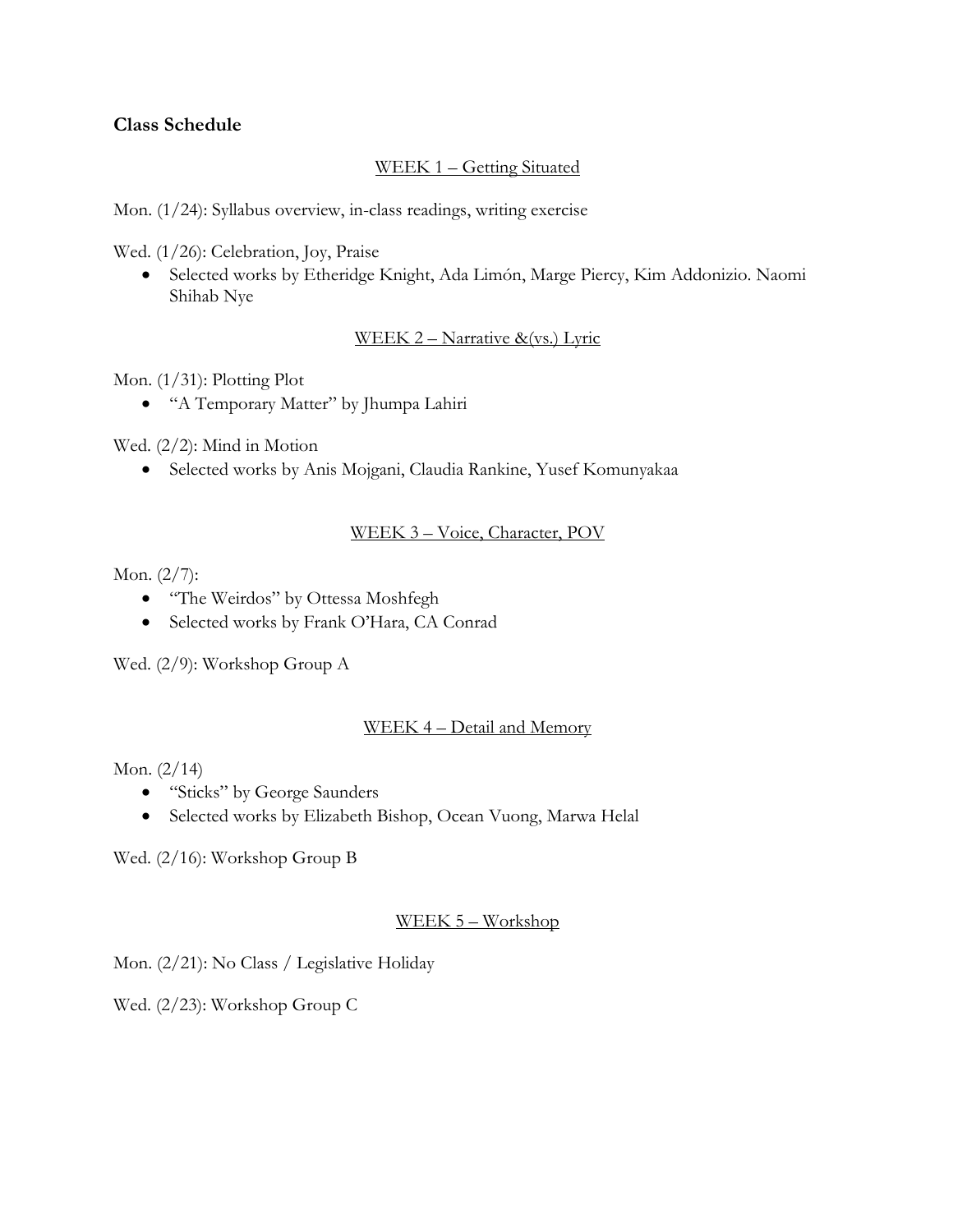# **Class Schedule**

# WEEK 1 – Getting Situated

Mon. (1/24): Syllabus overview, in-class readings, writing exercise

Wed. (1/26): Celebration, Joy, Praise

• Selected works by Etheridge Knight, Ada Limón, Marge Piercy, Kim Addonizio. Naomi Shihab Nye

# WEEK 2 – Narrative &(vs.) Lyric

Mon.  $(1/31)$ : Plotting Plot

• "A Temporary Matter" by Jhumpa Lahiri

Wed. (2/2): Mind in Motion

• Selected works by Anis Mojgani, Claudia Rankine, Yusef Komunyakaa

# WEEK 3 – Voice, Character, POV

Mon. (2/7):

- "The Weirdos" by Ottessa Moshfegh
- Selected works by Frank O'Hara, CA Conrad

Wed. (2/9): Workshop Group A

# WEEK 4 – Detail and Memory

Mon. (2/14)

- "Sticks" by George Saunders
- Selected works by Elizabeth Bishop, Ocean Vuong, Marwa Helal

Wed. (2/16): Workshop Group B

# WEEK 5 – Workshop

Mon. (2/21): No Class / Legislative Holiday

Wed. (2/23): Workshop Group C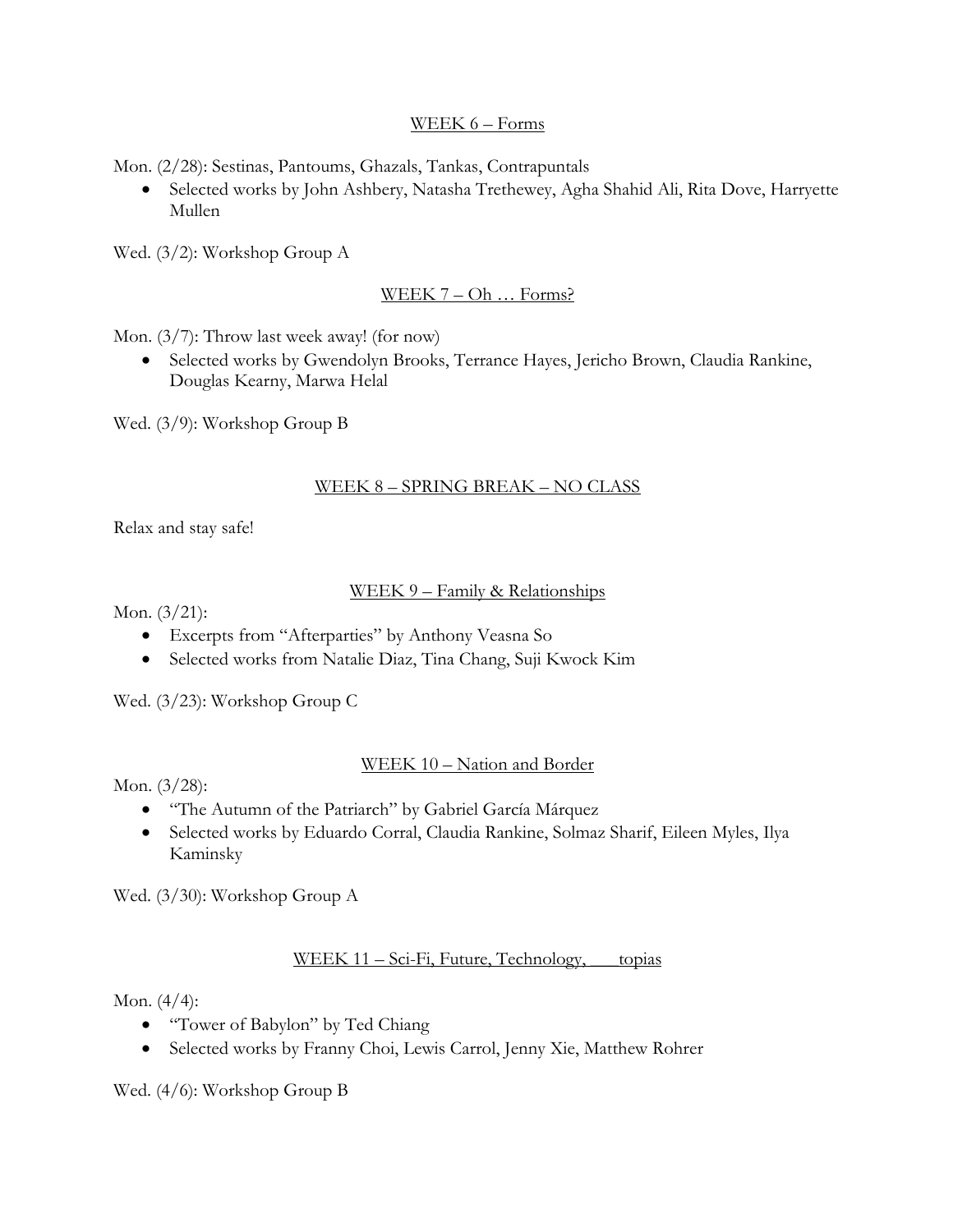### WEEK 6 – Forms

Mon. (2/28): Sestinas, Pantoums, Ghazals, Tankas, Contrapuntals

• Selected works by John Ashbery, Natasha Trethewey, Agha Shahid Ali, Rita Dove, Harryette Mullen

Wed. (3/2): Workshop Group A

# WEEK 7 – Oh ... Forms?

Mon. (3/7): Throw last week away! (for now)

• Selected works by Gwendolyn Brooks, Terrance Hayes, Jericho Brown, Claudia Rankine, Douglas Kearny, Marwa Helal

Wed. (3/9): Workshop Group B

### WEEK 8 – SPRING BREAK – NO CLASS

Relax and stay safe!

### WEEK 9 – Family & Relationships

Mon. (3/21):

- Excerpts from "Afterparties" by Anthony Veasna So
- Selected works from Natalie Diaz, Tina Chang, Suji Kwock Kim

Wed. (3/23): Workshop Group C

### WEEK 10 – Nation and Border

Mon. (3/28):

- "The Autumn of the Patriarch" by Gabriel García Márquez
- Selected works by Eduardo Corral, Claudia Rankine, Solmaz Sharif, Eileen Myles, Ilya Kaminsky

Wed. (3/30): Workshop Group A

# WEEK 11 – Sci-Fi, Future, Technology, topias

Mon. (4/4):

- "Tower of Babylon" by Ted Chiang
- Selected works by Franny Choi, Lewis Carrol, Jenny Xie, Matthew Rohrer

Wed. (4/6): Workshop Group B